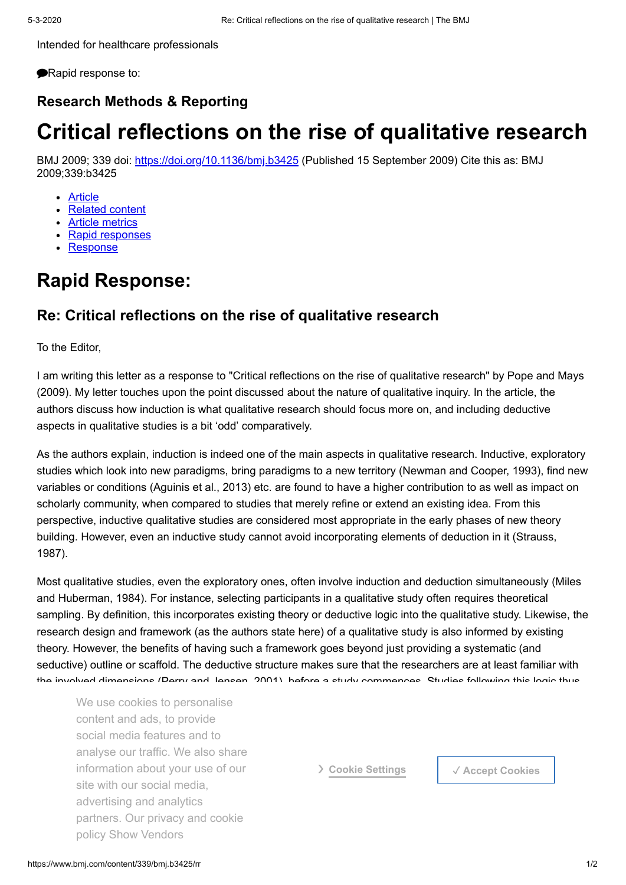Intended for healthcare professionals

**PRapid response to:** 

### **Research Methods & Reporting**

# **Critical reflections on the rise of qualitative research**

BMJ 2009; 339 doi:<https://doi.org/10.1136/bmj.b3425> (Published 15 September 2009) Cite this as: BMJ 2009;339:b3425

- [Article](https://www.bmj.com/content/339/bmj.b3425)
- [Related content](https://www.bmj.com/content/339/bmj.b3425/related)
- [Article metrics](https://www.bmj.com/content/339/bmj.b3425/article-info)
- [Rapid responses](https://www.bmj.com/content/339/bmj.b3425/rapid-responses)
- **[Response](https://www.bmj.com/content/339/bmj.b3425/rapid-responses)**

## **Rapid Response:**

## **Re: Critical reflections on the rise of qualitative research**

To the Editor,

I am writing this letter as a response to "Critical reflections on the rise of qualitative research" by Pope and Mays (2009). My letter touches upon the point discussed about the nature of qualitative inquiry. In the article, the authors discuss how induction is what qualitative research should focus more on, and including deductive aspects in qualitative studies is a bit 'odd' comparatively.

As the authors explain, induction is indeed one of the main aspects in qualitative research. Inductive, exploratory studies which look into new paradigms, bring paradigms to a new territory (Newman and Cooper, 1993), find new variables or conditions (Aguinis et al., 2013) etc. are found to have a higher contribution to as well as impact on scholarly community, when compared to studies that merely refine or extend an existing idea. From this perspective, inductive qualitative studies are considered most appropriate in the early phases of new theory building. However, even an inductive study cannot avoid incorporating elements of deduction in it (Strauss, 1987).

Most qualitative studies, even the exploratory ones, often involve induction and deduction simultaneously (Miles and Huberman, 1984). For instance, selecting participants in a qualitative study often requires theoretical sampling. By definition, this incorporates existing theory or deductive logic into the qualitative study. Likewise, the research design and framework (as the authors state here) of a qualitative study is also informed by existing theory. However, the benefits of having such a framework goes beyond just providing a systematic (and seductive) outline or scaffold. The deductive structure makes sure that the researchers are at least familiar with the involved dimensions (Perry and Jensen, 2001), before a study commences. Studies following this logic thus

We use cookies to personalise studies proceed, the findings either confirmed, the final studies proceed, the final studies either confirmed, the final studies proceed, the final studies of the final studies of the final st content and ads, to provide and inductive element the inductive element then content then content then comes in social media features and to An example for the same is the analysis of negative or deviative or deviative or deviative or deviative or deviative or deviative or deviative or deviative or deviative or deviative or deviative or deviative or deviative o constitution dood your dood point for the starting point of the studies: does not fit the emerging theory prompts another cycle of data collection and theoretical refinement via constant comparison. This is it is to a new causal condition, or a new causal condition, or a causal mechanism which le parators. Our privacy and counter deductive framework which helps one identify the negative or dissimilar case, iterations would have remained analyse our traffic. We also share information about your use of our site with our social media, advertising and analytics partners. Our privacy and cookie policy Show Vendors

❯ **Cookie Settings** ✓ **Accept Cookies**